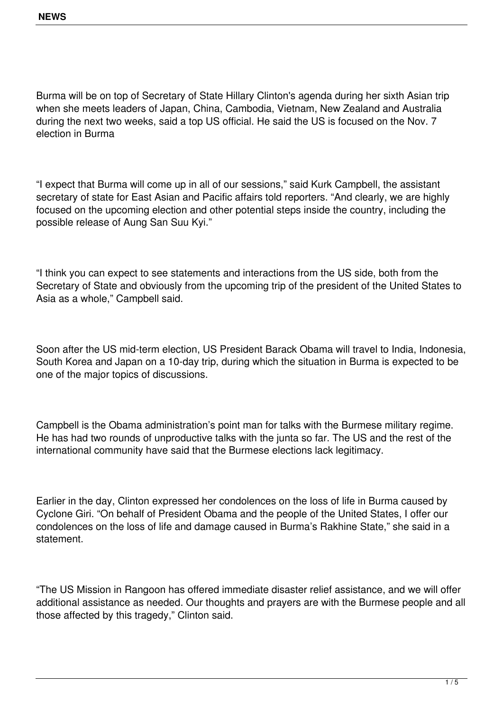Burma will be on top of Secretary of State Hillary Clinton's agenda during her sixth Asian trip when she meets leaders of Japan, China, Cambodia, Vietnam, New Zealand and Australia during the next two weeks, said a top US official. He said the US is focused on the Nov. 7 election in Burma

"I expect that Burma will come up in all of our sessions," said Kurk Campbell, the assistant secretary of state for East Asian and Pacific affairs told reporters. "And clearly, we are highly focused on the upcoming election and other potential steps inside the country, including the possible release of Aung San Suu Kyi."

"I think you can expect to see statements and interactions from the US side, both from the Secretary of State and obviously from the upcoming trip of the president of the United States to Asia as a whole," Campbell said.

Soon after the US mid-term election, US President Barack Obama will travel to India, Indonesia, South Korea and Japan on a 10-day trip, during which the situation in Burma is expected to be one of the major topics of discussions.

Campbell is the Obama administration's point man for talks with the Burmese military regime. He has had two rounds of unproductive talks with the junta so far. The US and the rest of the international community have said that the Burmese elections lack legitimacy.

Earlier in the day, Clinton expressed her condolences on the loss of life in Burma caused by Cyclone Giri. "On behalf of President Obama and the people of the United States, I offer our condolences on the loss of life and damage caused in Burma's Rakhine State," she said in a statement.

"The US Mission in Rangoon has offered immediate disaster relief assistance, and we will offer additional assistance as needed. Our thoughts and prayers are with the Burmese people and all those affected by this tragedy," Clinton said.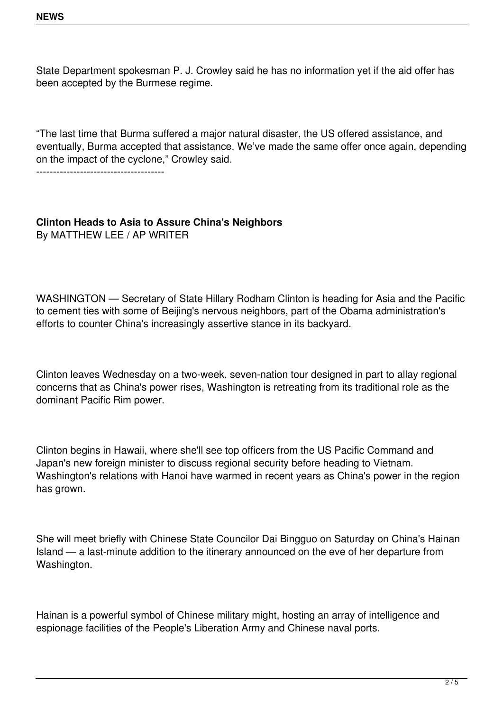State Department spokesman P. J. Crowley said he has no information yet if the aid offer has been accepted by the Burmese regime.

"The last time that Burma suffered a major natural disaster, the US offered assistance, and eventually, Burma accepted that assistance. We've made the same offer once again, depending on the impact of the cyclone," Crowley said.

--------------------------------------

## **Clinton Heads to Asia to Assure China's Neighbors** By MATTHEW LEE / AP WRITER

WASHINGTON — Secretary of State Hillary Rodham Clinton is heading for Asia and the Pacific to cement ties with some of Beijing's nervous neighbors, part of the Obama administration's efforts to counter China's increasingly assertive stance in its backyard.

Clinton leaves Wednesday on a two-week, seven-nation tour designed in part to allay regional concerns that as China's power rises, Washington is retreating from its traditional role as the dominant Pacific Rim power.

Clinton begins in Hawaii, where she'll see top officers from the US Pacific Command and Japan's new foreign minister to discuss regional security before heading to Vietnam. Washington's relations with Hanoi have warmed in recent years as China's power in the region has grown.

She will meet briefly with Chinese State Councilor Dai Bingguo on Saturday on China's Hainan Island — a last-minute addition to the itinerary announced on the eve of her departure from Washington.

Hainan is a powerful symbol of Chinese military might, hosting an array of intelligence and espionage facilities of the People's Liberation Army and Chinese naval ports.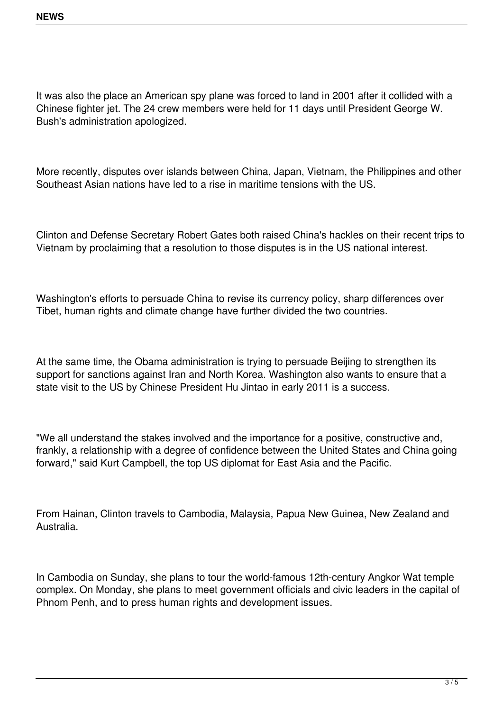It was also the place an American spy plane was forced to land in 2001 after it collided with a Chinese fighter jet. The 24 crew members were held for 11 days until President George W. Bush's administration apologized.

More recently, disputes over islands between China, Japan, Vietnam, the Philippines and other Southeast Asian nations have led to a rise in maritime tensions with the US.

Clinton and Defense Secretary Robert Gates both raised China's hackles on their recent trips to Vietnam by proclaiming that a resolution to those disputes is in the US national interest.

Washington's efforts to persuade China to revise its currency policy, sharp differences over Tibet, human rights and climate change have further divided the two countries.

At the same time, the Obama administration is trying to persuade Beijing to strengthen its support for sanctions against Iran and North Korea. Washington also wants to ensure that a state visit to the US by Chinese President Hu Jintao in early 2011 is a success.

"We all understand the stakes involved and the importance for a positive, constructive and, frankly, a relationship with a degree of confidence between the United States and China going forward," said Kurt Campbell, the top US diplomat for East Asia and the Pacific.

From Hainan, Clinton travels to Cambodia, Malaysia, Papua New Guinea, New Zealand and Australia.

In Cambodia on Sunday, she plans to tour the world-famous 12th-century Angkor Wat temple complex. On Monday, she plans to meet government officials and civic leaders in the capital of Phnom Penh, and to press human rights and development issues.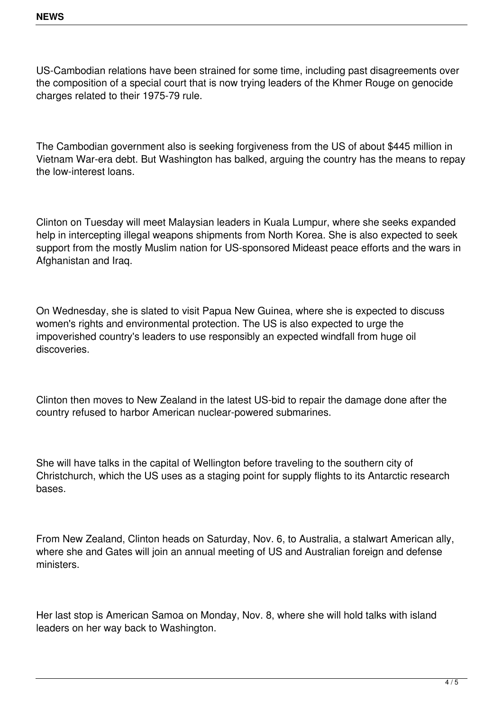US-Cambodian relations have been strained for some time, including past disagreements over the composition of a special court that is now trying leaders of the Khmer Rouge on genocide charges related to their 1975-79 rule.

The Cambodian government also is seeking forgiveness from the US of about \$445 million in Vietnam War-era debt. But Washington has balked, arguing the country has the means to repay the low-interest loans.

Clinton on Tuesday will meet Malaysian leaders in Kuala Lumpur, where she seeks expanded help in intercepting illegal weapons shipments from North Korea. She is also expected to seek support from the mostly Muslim nation for US-sponsored Mideast peace efforts and the wars in Afghanistan and Iraq.

On Wednesday, she is slated to visit Papua New Guinea, where she is expected to discuss women's rights and environmental protection. The US is also expected to urge the impoverished country's leaders to use responsibly an expected windfall from huge oil discoveries.

Clinton then moves to New Zealand in the latest US-bid to repair the damage done after the country refused to harbor American nuclear-powered submarines.

She will have talks in the capital of Wellington before traveling to the southern city of Christchurch, which the US uses as a staging point for supply flights to its Antarctic research bases.

From New Zealand, Clinton heads on Saturday, Nov. 6, to Australia, a stalwart American ally, where she and Gates will join an annual meeting of US and Australian foreign and defense ministers.

Her last stop is American Samoa on Monday, Nov. 8, where she will hold talks with island leaders on her way back to Washington.